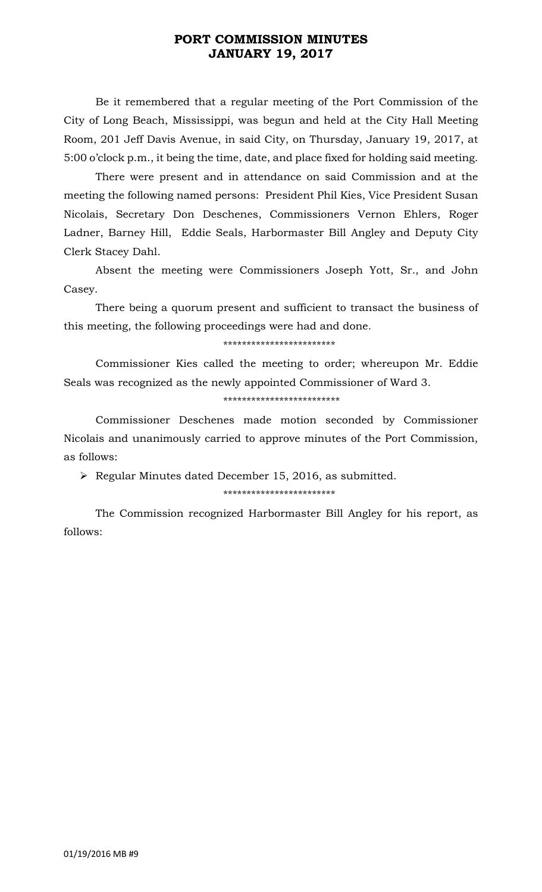## **PORT COMMISSION MINUTES JANUARY 19, 2017**

Be it remembered that a regular meeting of the Port Commission of the City of Long Beach, Mississippi, was begun and held at the City Hall Meeting Room, 201 Jeff Davis Avenue, in said City, on Thursday, January 19, 2017, at 5:00 o'clock p.m., it being the time, date, and place fixed for holding said meeting.

There were present and in attendance on said Commission and at the meeting the following named persons: President Phil Kies, Vice President Susan Nicolais, Secretary Don Deschenes, Commissioners Vernon Ehlers, Roger Ladner, Barney Hill, Eddie Seals, Harbormaster Bill Angley and Deputy City Clerk Stacey Dahl.

Absent the meeting were Commissioners Joseph Yott, Sr., and John Casey.

There being a quorum present and sufficient to transact the business of this meeting, the following proceedings were had and done.

\*\*\*\*\*\*\*\*\*\*\*\*\*\*\*\*\*\*\*\*\*\*\*\*

Commissioner Kies called the meeting to order; whereupon Mr. Eddie Seals was recognized as the newly appointed Commissioner of Ward 3.

### \*\*\*\*\*\*\*\*\*\*\*\*\*\*\*\*\*\*\*\*\*\*\*\*\*

Commissioner Deschenes made motion seconded by Commissioner Nicolais and unanimously carried to approve minutes of the Port Commission, as follows:

 $\triangleright$  Regular Minutes dated December 15, 2016, as submitted.

### \*\*\*\*\*\*\*\*\*\*\*\*\*\*\*\*\*\*\*\*\*\*\*\*

The Commission recognized Harbormaster Bill Angley for his report, as follows: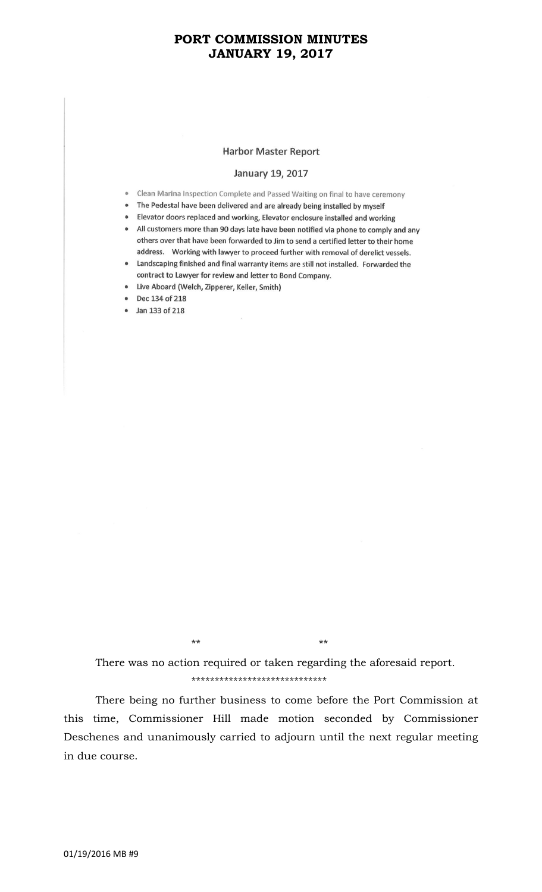## **PORT COMMISSION MINUTES JANUARY 19, 2017**

#### **Harbor Master Report**

#### January 19, 2017

- Clean Marina Inspection Complete and Passed Waiting on final to have ceremony
- The Pedestal have been delivered and are already being installed by myself
- Elevator doors replaced and working, Elevator enclosure installed and working
- All customers more than 90 days late have been notified via phone to comply and any others over that have been forwarded to Jim to send a certified letter to their home address. Working with lawyer to proceed further with removal of derelict vessels.
- Landscaping finished and final warranty items are still not installed. Forwarded the contract to Lawyer for review and letter to Bond Company.
- Live Aboard (Welch, Zipperer, Keller, Smith)
- Dec 134 of 218
- Jan 133 of 218

\*\* \*\*

There was no action required or taken regarding the aforesaid report. \*\*\*\*\*\*\*\*\*\*\*\*\*\*\*\*\*\*\*\*\*\*\*\*\*\*\*\*\*

There being no further business to come before the Port Commission at this time, Commissioner Hill made motion seconded by Commissioner Deschenes and unanimously carried to adjourn until the next regular meeting in due course.